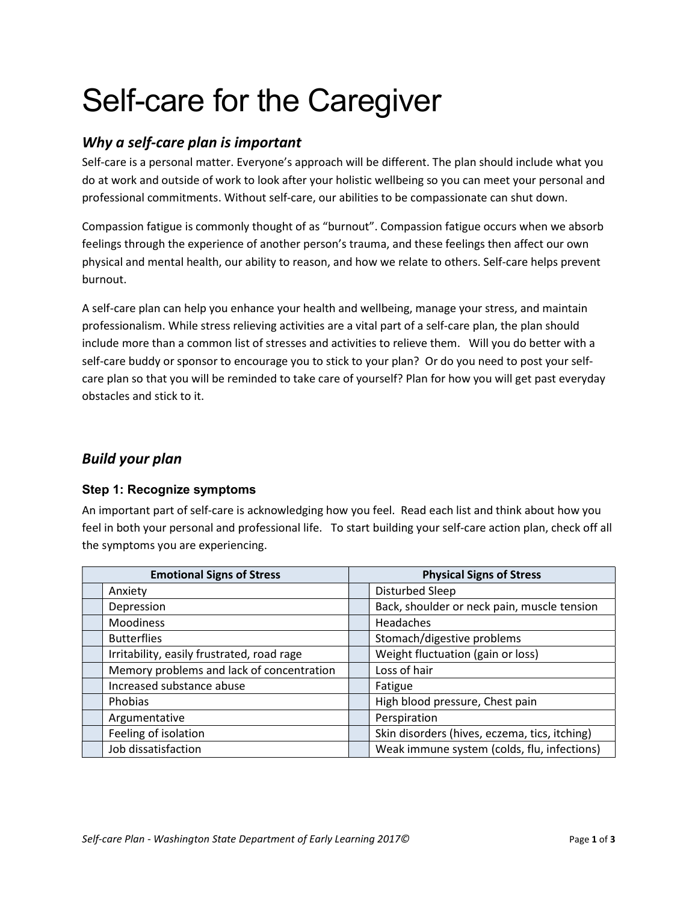# Self-care for the Caregiver

## Why a self-care plan is important

Self-care is a personal matter. Everyone's approach will be different. The plan should include what you do at work and outside of work to look after your holistic wellbeing so you can meet your personal and professional commitments. Without self-care, our abilities to be compassionate can shut down.

Compassion fatigue is commonly thought of as "burnout". Compassion fatigue occurs when we absorb feelings through the experience of another person's trauma, and these feelings then affect our own physical and mental health, our ability to reason, and how we relate to others. Self-care helps prevent burnout.

A self-care plan can help you enhance your health and wellbeing, manage your stress, and maintain professionalism. While stress relieving activities are a vital part of a self-care plan, the plan should include more than a common list of stresses and activities to relieve them. Will you do better with a self-care buddy or sponsor to encourage you to stick to your plan? Or do you need to post your selfcare plan so that you will be reminded to take care of yourself? Plan for how you will get past everyday obstacles and stick to it.

## Build your plan

### Step 1: Recognize symptoms

An important part of self-care is acknowledging how you feel. Read each list and think about how you feel in both your personal and professional life. To start building your self-care action plan, check off all the symptoms you are experiencing.

| <b>Emotional Signs of Stress</b>           | <b>Physical Signs of Stress</b>               |  |
|--------------------------------------------|-----------------------------------------------|--|
| Anxiety                                    | Disturbed Sleep                               |  |
| Depression                                 | Back, shoulder or neck pain, muscle tension   |  |
| Moodiness                                  | Headaches                                     |  |
| <b>Butterflies</b>                         | Stomach/digestive problems                    |  |
| Irritability, easily frustrated, road rage | Weight fluctuation (gain or loss)             |  |
| Memory problems and lack of concentration  | Loss of hair                                  |  |
| Increased substance abuse                  | Fatigue                                       |  |
| Phobias                                    | High blood pressure, Chest pain               |  |
| Argumentative                              | Perspiration                                  |  |
| Feeling of isolation                       | Skin disorders (hives, eczema, tics, itching) |  |
| Job dissatisfaction                        | Weak immune system (colds, flu, infections)   |  |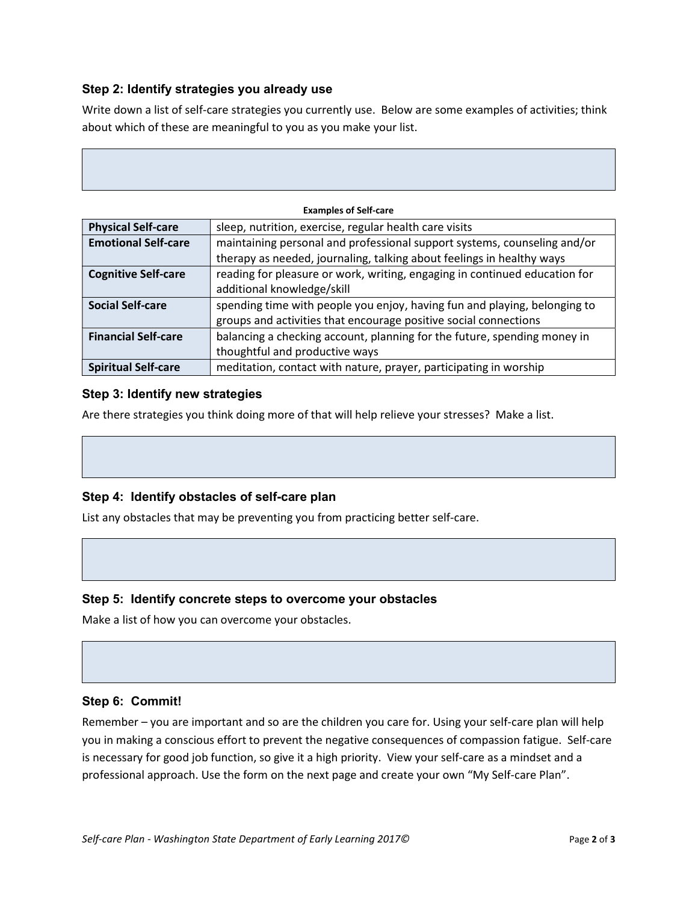### Step 2: Identify strategies you already use

Write down a list of self-care strategies you currently use. Below are some examples of activities; think about which of these are meaningful to you as you make your list.

| <b>Examples of Self-care</b> |                                                                            |  |
|------------------------------|----------------------------------------------------------------------------|--|
| <b>Physical Self-care</b>    | sleep, nutrition, exercise, regular health care visits                     |  |
| <b>Emotional Self-care</b>   | maintaining personal and professional support systems, counseling and/or   |  |
|                              | therapy as needed, journaling, talking about feelings in healthy ways      |  |
| <b>Cognitive Self-care</b>   | reading for pleasure or work, writing, engaging in continued education for |  |
|                              | additional knowledge/skill                                                 |  |
| <b>Social Self-care</b>      | spending time with people you enjoy, having fun and playing, belonging to  |  |
|                              | groups and activities that encourage positive social connections           |  |
| <b>Financial Self-care</b>   | balancing a checking account, planning for the future, spending money in   |  |
|                              | thoughtful and productive ways                                             |  |
| <b>Spiritual Self-care</b>   | meditation, contact with nature, prayer, participating in worship          |  |

#### Step 3: Identify new strategies

Are there strategies you think doing more of that will help relieve your stresses? Make a list.

#### Step 4: Identify obstacles of self-care plan

List any obstacles that may be preventing you from practicing better self-care.

#### Step 5: Identify concrete steps to overcome your obstacles

Make a list of how you can overcome your obstacles.

#### Step 6: Commit!

Remember – you are important and so are the children you care for. Using your self-care plan will help you in making a conscious effort to prevent the negative consequences of compassion fatigue. Self-care is necessary for good job function, so give it a high priority. View your self-care as a mindset and a professional approach. Use the form on the next page and create your own "My Self-care Plan".